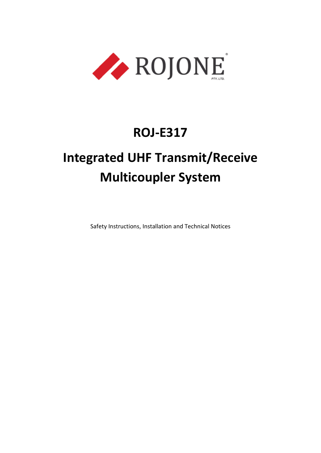

# **ROJ-E317**

# **Integrated UHF Transmit/Receive Multicoupler System**

Safety Instructions, Installation and Technical Notices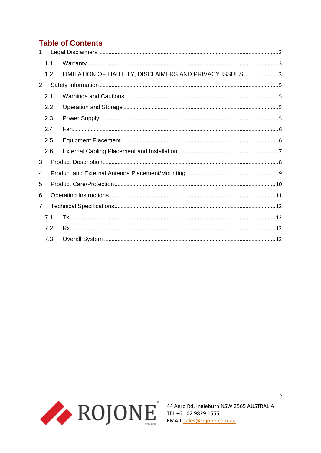# **Table of Contents**

| $\mathbf{1}$   |     |                                                          |  |  |  |
|----------------|-----|----------------------------------------------------------|--|--|--|
|                | 1.1 |                                                          |  |  |  |
|                | 1.2 | LIMITATION OF LIABILITY, DISCLAIMERS AND PRIVACY ISSUES3 |  |  |  |
| $\overline{2}$ |     |                                                          |  |  |  |
|                | 2.1 |                                                          |  |  |  |
|                | 2.2 |                                                          |  |  |  |
|                | 2.3 |                                                          |  |  |  |
|                | 2.4 |                                                          |  |  |  |
|                | 2.5 |                                                          |  |  |  |
|                | 2.6 |                                                          |  |  |  |
| 3              |     |                                                          |  |  |  |
| 4              |     |                                                          |  |  |  |
| 5              |     |                                                          |  |  |  |
| 6              |     |                                                          |  |  |  |
| $\overline{7}$ |     |                                                          |  |  |  |
|                | 7.1 |                                                          |  |  |  |
|                | 7.2 |                                                          |  |  |  |
|                | 7.3 |                                                          |  |  |  |

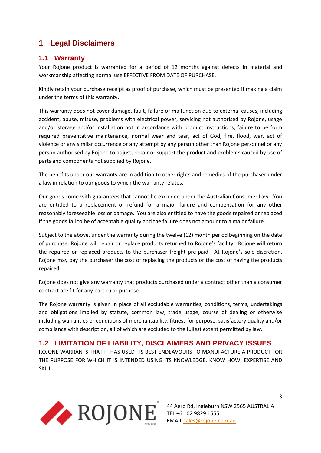## <span id="page-2-0"></span>**1 Legal Disclaimers**

#### <span id="page-2-1"></span>**1.1 Warranty**

Your Rojone product is warranted for a period of 12 months against defects in material and workmanship affecting normal use EFFECTIVE FROM DATE OF PURCHASE.

Kindly retain your purchase receipt as proof of purchase, which must be presented if making a claim under the terms of this warranty.

This warranty does not cover damage, fault, failure or malfunction due to external causes, including accident, abuse, misuse, problems with electrical power, servicing not authorised by Rojone, usage and/or storage and/or installation not in accordance with product instructions, failure to perform required preventative maintenance, normal wear and tear, act of God, fire, flood, war, act of violence or any similar occurrence or any attempt by any person other than Rojone personnel or any person authorised by Rojone to adjust, repair or support the product and problems caused by use of parts and components not supplied by Rojone.

The benefits under our warranty are in addition to other rights and remedies of the purchaser under a law in relation to our goods to which the warranty relates.

Our goods come with guarantees that cannot be excluded under the Australian Consumer Law. You are entitled to a replacement or refund for a major failure and compensation for any other reasonably foreseeable loss or damage. You are also entitled to have the goods repaired or replaced if the goods fail to be of acceptable quality and the failure does not amount to a major failure.

Subject to the above, under the warranty during the twelve (12) month period beginning on the date of purchase, Rojone will repair or replace products returned to Rojone's facility. Rojone will return the repaired or replaced products to the purchaser freight pre-paid. At Rojone's sole discretion, Rojone may pay the purchaser the cost of replacing the products or the cost of having the products repaired.

Rojone does not give any warranty that products purchased under a contract other than a consumer contract are fit for any particular purpose.

The Rojone warranty is given in place of all excludable warranties, conditions, terms, undertakings and obligations implied by statute, common law, trade usage, course of dealing or otherwise including warranties or conditions of merchantability, fitness for purpose, satisfactory quality and/or compliance with description, all of which are excluded to the fullest extent permitted by law.

### <span id="page-2-2"></span>**1.2 LIMITATION OF LIABILITY, DISCLAIMERS AND PRIVACY ISSUES**

ROJONE WARRANTS THAT IT HAS USED ITS BEST ENDEAVOURS TO MANUFACTURE A PRODUCT FOR THE PURPOSE FOR WHICH IT IS INTENDED USING ITS KNOWLEDGE, KNOW HOW, EXPERTISE AND SKILL.



44 Aero Rd, Ingleburn NSW 2565 AUSTRALIA EMAIL [sales@rojone.com.au](mailto:sales@rojone.com.au)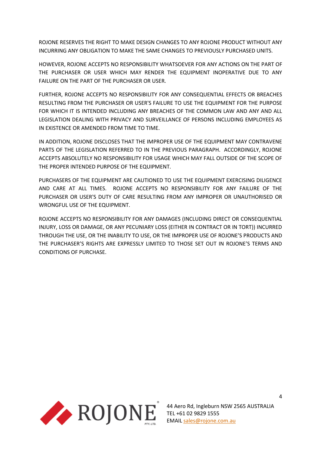ROJONE RESERVES THE RIGHT TO MAKE DESIGN CHANGES TO ANY ROJONE PRODUCT WITHOUT ANY INCURRING ANY OBLIGATION TO MAKE THE SAME CHANGES TO PREVIOUSLY PURCHASED UNITS.

HOWEVER, ROJONE ACCEPTS NO RESPONSIBILITY WHATSOEVER FOR ANY ACTIONS ON THE PART OF THE PURCHASER OR USER WHICH MAY RENDER THE EQUIPMENT INOPERATIVE DUE TO ANY FAILURE ON THE PART OF THE PURCHASER OR USER.

FURTHER, ROJONE ACCEPTS NO RESPONSIBILITY FOR ANY CONSEQUENTIAL EFFECTS OR BREACHES RESULTING FROM THE PURCHASER OR USER'S FAILURE TO USE THE EQUIPMENT FOR THE PURPOSE FOR WHICH IT IS INTENDED INCLUDING ANY BREACHES OF THE COMMON LAW AND ANY AND ALL LEGISLATION DEALING WITH PRIVACY AND SURVEILLANCE OF PERSONS INCLUDING EMPLOYEES AS IN EXISTENCE OR AMENDED FROM TIME TO TIME.

IN ADDITION, ROJONE DISCLOSES THAT THE IMPROPER USE OF THE EQUIPMENT MAY CONTRAVENE PARTS OF THE LEGISLATION REFERRED TO IN THE PREVIOUS PARAGRAPH. ACCORDINGLY, ROJONE ACCEPTS ABSOLUTELY NO RESPONSIBILITY FOR USAGE WHICH MAY FALL OUTSIDE OF THE SCOPE OF THE PROPER INTENDED PURPOSE OF THE EQUIPMENT.

PURCHASERS OF THE EQUIPMENT ARE CAUTIONED TO USE THE EQUIPMENT EXERCISING DILIGENCE AND CARE AT ALL TIMES. ROJONE ACCEPTS NO RESPONSIBILITY FOR ANY FAILURE OF THE PURCHASER OR USER'S DUTY OF CARE RESULTING FROM ANY IMPROPER OR UNAUTHORISED OR WRONGFUL USE OF THE EQUIPMENT.

ROJONE ACCEPTS NO RESPONSIBILITY FOR ANY DAMAGES (INCLUDING DIRECT OR CONSEQUENTIAL INJURY, LOSS OR DAMAGE, OR ANY PECUNIARY LOSS (EITHER IN CONTRACT OR IN TORT)) INCURRED THROUGH THE USE, OR THE INABILITY TO USE, OR THE IMPROPER USE OF ROJONE'S PRODUCTS AND THE PURCHASER'S RIGHTS ARE EXPRESSLY LIMITED TO THOSE SET OUT IN ROJONE'S TERMS AND CONDITIONS OF PURCHASE.

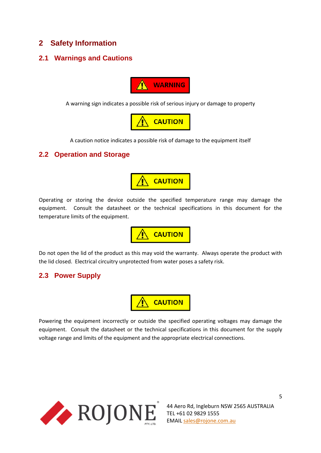### <span id="page-4-0"></span>**2 Safety Information**

### <span id="page-4-1"></span>**2.1 Warnings and Cautions**



A warning sign indicates a possible risk of serious injury or damage to property



A caution notice indicates a possible risk of damage to the equipment itself

#### <span id="page-4-2"></span>**2.2 Operation and Storage**



Operating or storing the device outside the specified temperature range may damage the equipment. Consult the datasheet or the technical specifications in this document for the temperature limits of the equipment.



Do not open the lid of the product as this may void the warranty. Always operate the product with the lid closed. Electrical circuitry unprotected from water poses a safety risk.

### <span id="page-4-3"></span>**2.3 Power Supply**



Powering the equipment incorrectly or outside the specified operating voltages may damage the equipment. Consult the datasheet or the technical specifications in this document for the supply voltage range and limits of the equipment and the appropriate electrical connections.



44 Aero Rd, Ingleburn NSW 2565 AUSTRALIA TEL +61 02 9829 1555 EMAIL [sales@rojone.com.au](mailto:sales@rojone.com.au)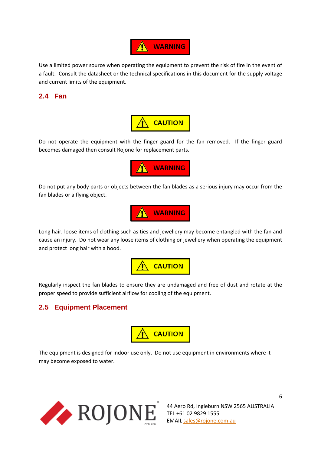

Use a limited power source when operating the equipment to prevent the risk of fire in the event of a fault. Consult the datasheet or the technical specifications in this document for the supply voltage and current limits of the equipment.

### <span id="page-5-0"></span>**2.4 Fan**



Do not operate the equipment with the finger guard for the fan removed. If the finger guard becomes damaged then consult Rojone for replacement parts.



Do not put any body parts or objects between the fan blades as a serious injury may occur from the fan blades or a flying object.



Long hair, loose items of clothing such as ties and jewellery may become entangled with the fan and cause an injury. Do not wear any loose items of clothing or jewellery when operating the equipment and protect long hair with a hood.



Regularly inspect the fan blades to ensure they are undamaged and free of dust and rotate at the proper speed to provide sufficient airflow for cooling of the equipment.

### <span id="page-5-1"></span>**2.5 Equipment Placement**



The equipment is designed for indoor use only. Do not use equipment in environments where it may become exposed to water.

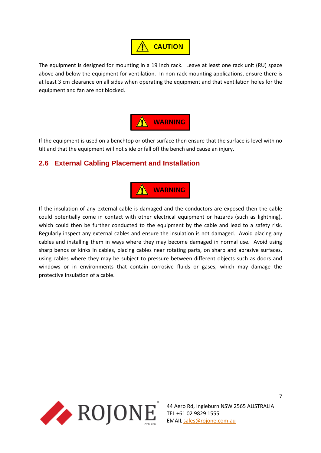# **CAUTION**

The equipment is designed for mounting in a 19 inch rack. Leave at least one rack unit (RU) space above and below the equipment for ventilation. In non-rack mounting applications, ensure there is at least 3 cm clearance on all sides when operating the equipment and that ventilation holes for the equipment and fan are not blocked.



If the equipment is used on a benchtop or other surface then ensure that the surface is level with no tilt and that the equipment will not slide or fall off the bench and cause an injury.

### <span id="page-6-0"></span>**2.6 External Cabling Placement and Installation**



If the insulation of any external cable is damaged and the conductors are exposed then the cable could potentially come in contact with other electrical equipment or hazards (such as lightning), which could then be further conducted to the equipment by the cable and lead to a safety risk. Regularly inspect any external cables and ensure the insulation is not damaged. Avoid placing any cables and installing them in ways where they may become damaged in normal use. Avoid using sharp bends or kinks in cables, placing cables near rotating parts, on sharp and abrasive surfaces, using cables where they may be subject to pressure between different objects such as doors and windows or in environments that contain corrosive fluids or gases, which may damage the protective insulation of a cable.



44 Aero Rd, Ingleburn NSW 2565 AUSTRALIA TEL +61 02 9829 1555 EMAIL [sales@rojone.com.au](mailto:sales@rojone.com.au)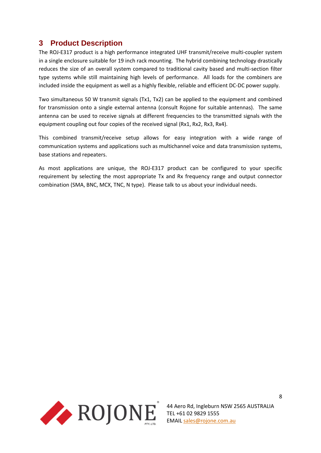# <span id="page-7-0"></span>**3 Product Description**

The ROJ-E317 product is a high performance integrated UHF transmit/receive multi-coupler system in a single enclosure suitable for 19 inch rack mounting. The hybrid combining technology drastically reduces the size of an overall system compared to traditional cavity based and multi-section filter type systems while still maintaining high levels of performance. All loads for the combiners are included inside the equipment as well as a highly flexible, reliable and efficient DC-DC power supply.

Two simultaneous 50 W transmit signals (Tx1, Tx2) can be applied to the equipment and combined for transmission onto a single external antenna (consult Rojone for suitable antennas). The same antenna can be used to receive signals at different frequencies to the transmitted signals with the equipment coupling out four copies of the received signal (Rx1, Rx2, Rx3, Rx4).

This combined transmit/receive setup allows for easy integration with a wide range of communication systems and applications such as multichannel voice and data transmission systems, base stations and repeaters.

As most applications are unique, the ROJ-E317 product can be configured to your specific requirement by selecting the most appropriate Tx and Rx frequency range and output connector combination (SMA, BNC, MCX, TNC, N type). Please talk to us about your individual needs.

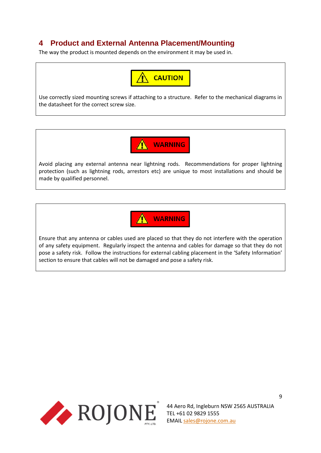# <span id="page-8-0"></span>**4 Product and External Antenna Placement/Mounting**

The way the product is mounted depends on the environment it may be used in.



Use correctly sized mounting screws if attaching to a structure. Refer to the mechanical diagrams in the datasheet for the correct screw size.



Avoid placing any external antenna near lightning rods. Recommendations for proper lightning protection (such as lightning rods, arrestors etc) are unique to most installations and should be made by qualified personnel.



Ensure that any antenna or cables used are placed so that they do not interfere with the operation of any safety equipment. Regularly inspect the antenna and cables for damage so that they do not pose a safety risk. Follow the instructions for external cabling placement in the 'Safety Information' section to ensure that cables will not be damaged and pose a safety risk.

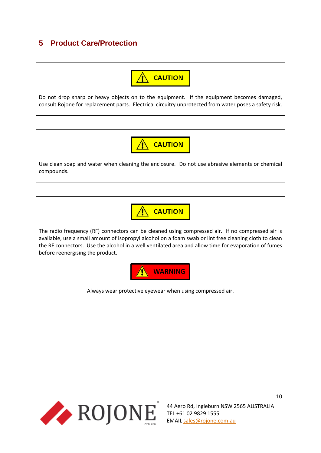# <span id="page-9-0"></span>**5 Product Care/Protection**



Do not drop sharp or heavy objects on to the equipment. If the equipment becomes damaged, consult Rojone for replacement parts. Electrical circuitry unprotected from water poses a safety risk.



Use clean soap and water when cleaning the enclosure. Do not use abrasive elements or chemical compounds.



The radio frequency (RF) connectors can be cleaned using compressed air. If no compressed air is available, use a small amount of isopropyl alcohol on a foam swab or lint free cleaning cloth to clean the RF connectors. Use the alcohol in a well ventilated area and allow time for evaporation of fumes before reenergising the product.



Always wear protective eyewear when using compressed air.



44 Aero Rd, Ingleburn NSW 2565 AUSTRALIA TEL +61 02 9829 1555 EMAIL [sales@rojone.com.au](mailto:sales@rojone.com.au)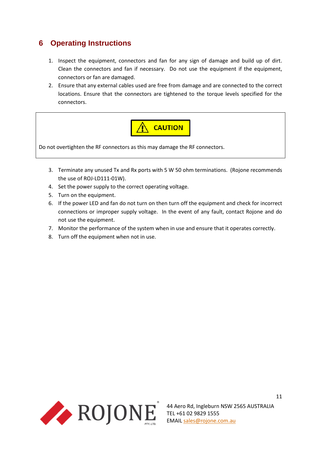# <span id="page-10-0"></span>**6 Operating Instructions**

- 1. Inspect the equipment, connectors and fan for any sign of damage and build up of dirt. Clean the connectors and fan if necessary. Do not use the equipment if the equipment, connectors or fan are damaged.
- 2. Ensure that any external cables used are free from damage and are connected to the correct locations. Ensure that the connectors are tightened to the torque levels specified for the connectors.



- 3. Terminate any unused Tx and Rx ports with 5 W 50 ohm terminations. (Rojone recommends the use of ROJ-LD111-01W).
- 4. Set the power supply to the correct operating voltage.
- 5. Turn on the equipment.
- 6. If the power LED and fan do not turn on then turn off the equipment and check for incorrect connections or improper supply voltage. In the event of any fault, contact Rojone and do not use the equipment.
- 7. Monitor the performance of the system when in use and ensure that it operates correctly.
- 8. Turn off the equipment when not in use.